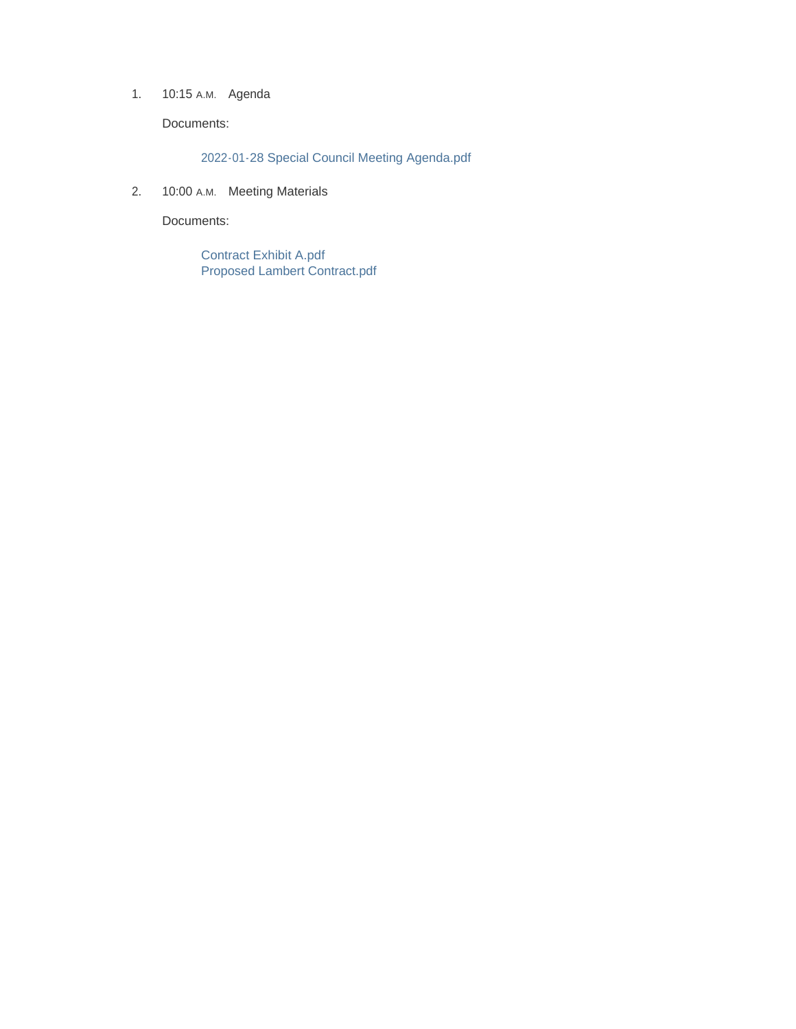1. 10:15 A.M. Agenda

Documents:

2022-01-28 Special Council Meeting Agenda.pdf

2. 10:00 A.M. Meeting Materials

Documents:

Contract Exhibit A.pdf Proposed Lambert Contract.pdf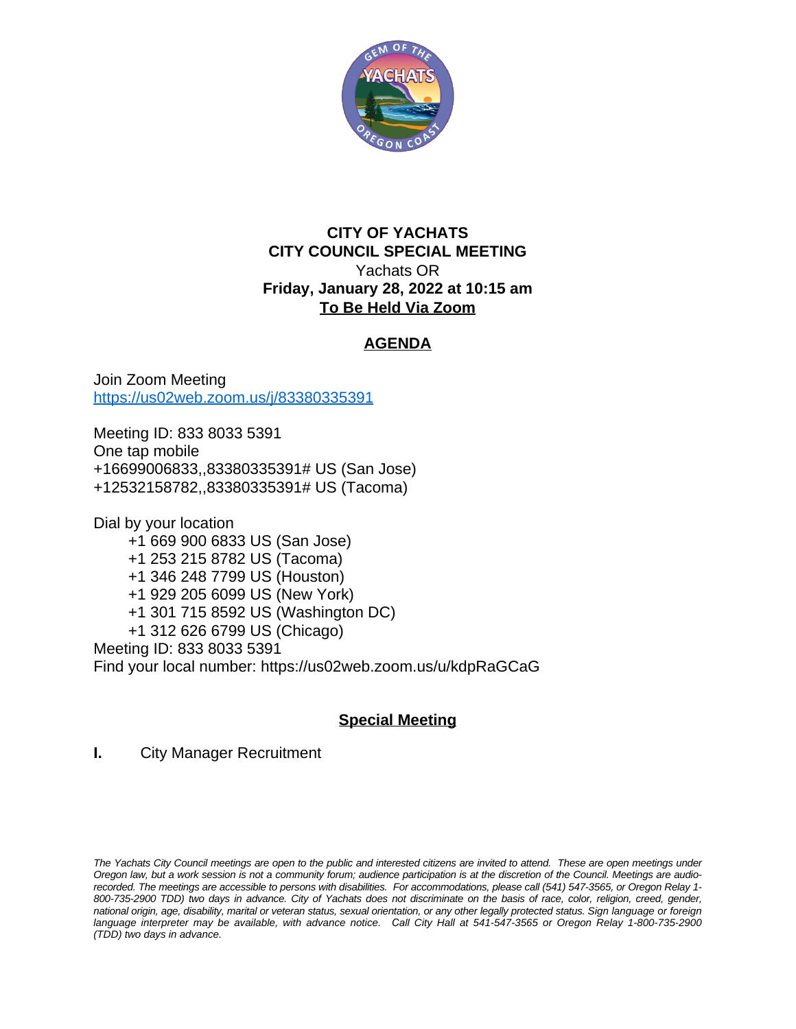

### **CITY OF YACHATS CITY COUNCIL SPECIAL MEETING** Yachats OR **Friday, January 28, 2022 at 10:15 am To Be Held Via Zoom**

## **AGENDA**

Join Zoom Meeting <https://us02web.zoom.us/j/83380335391>

Meeting ID: 833 8033 5391 One tap mobile +16699006833,,83380335391# US (San Jose) +12532158782,,83380335391# US (Tacoma)

Dial by your location +1 669 900 6833 US (San Jose) +1 253 215 8782 US (Tacoma) +1 346 248 7799 US (Houston) +1 929 205 6099 US (New York) +1 301 715 8592 US (Washington DC) +1 312 626 6799 US (Chicago) Meeting ID: 833 8033 5391 Find your local number: https://us02web.zoom.us/u/kdpRaGCaG

# **Special Meeting**

**I.** City Manager Recruitment

The Yachats City Council meetings are open to the public and interested citizens are invited to attend. These are open meetings under Oregon law, but a work session is not a community forum; audience participation is at the discretion of the Council. Meetings are audiorecorded. The meetings are accessible to persons with disabilities. For accommodations, please call (541) 547-3565, or Oregon Relay 1-800-735-2900 TDD) two days in advance. City of Yachats does not discriminate on the basis of race, color, religion, creed, gender, national origin, age, disability, marital or veteran status, sexual orientation, or any other legally protected status. Sign language or foreign language interpreter may be available, with advance notice. Call City Hall at 541-547-3565 or Oregon Relay 1-800-735-2900 *(TDD) two days in advance.*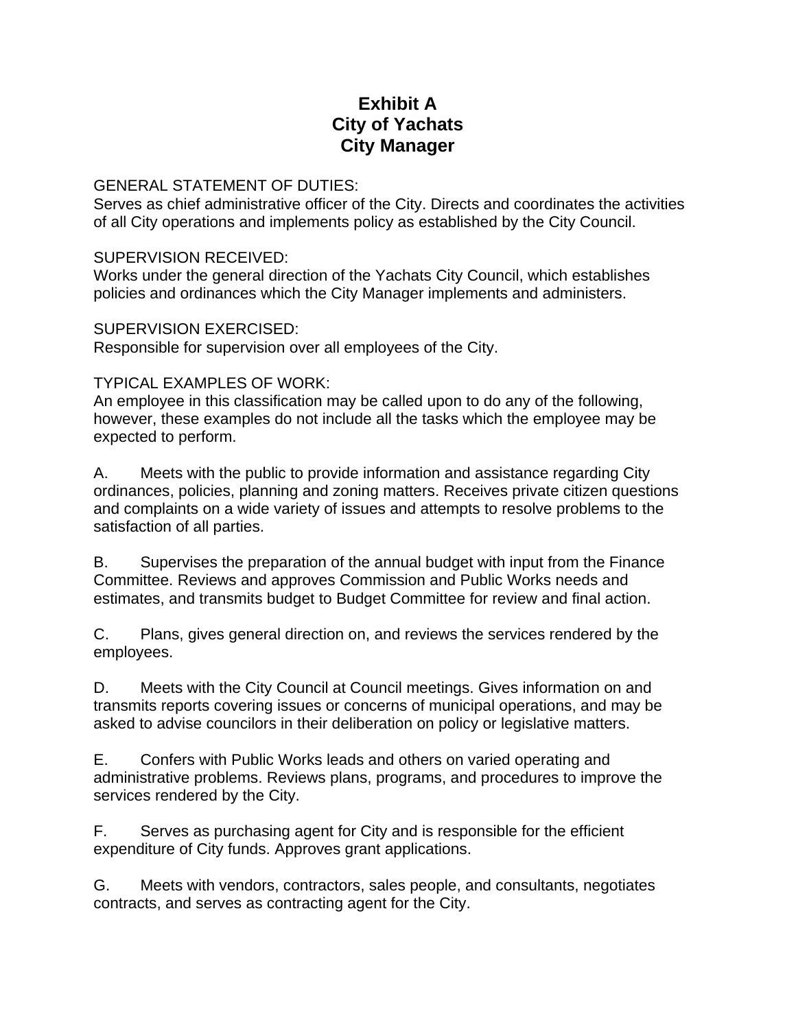# **Exhibit A City of Yachats City Manager**

#### GENERAL STATEMENT OF DUTIES:

Serves as chief administrative officer of the City. Directs and coordinates the activities of all City operations and implements policy as established by the City Council.

#### SUPERVISION RECEIVED:

Works under the general direction of the Yachats City Council, which establishes policies and ordinances which the City Manager implements and administers.

#### SUPERVISION EXERCISED:

Responsible for supervision over all employees of the City.

### TYPICAL EXAMPLES OF WORK:

An employee in this classification may be called upon to do any of the following, however, these examples do not include all the tasks which the employee may be expected to perform.

A. Meets with the public to provide information and assistance regarding City ordinances, policies, planning and zoning matters. Receives private citizen questions and complaints on a wide variety of issues and attempts to resolve problems to the satisfaction of all parties.

B. Supervises the preparation of the annual budget with input from the Finance Committee. Reviews and approves Commission and Public Works needs and estimates, and transmits budget to Budget Committee for review and final action.

C. Plans, gives general direction on, and reviews the services rendered by the employees.

D. Meets with the City Council at Council meetings. Gives information on and transmits reports covering issues or concerns of municipal operations, and may be asked to advise councilors in their deliberation on policy or legislative matters.

E. Confers with Public Works leads and others on varied operating and administrative problems. Reviews plans, programs, and procedures to improve the services rendered by the City.

F. Serves as purchasing agent for City and is responsible for the efficient expenditure of City funds. Approves grant applications.

G. Meets with vendors, contractors, sales people, and consultants, negotiates contracts, and serves as contracting agent for the City.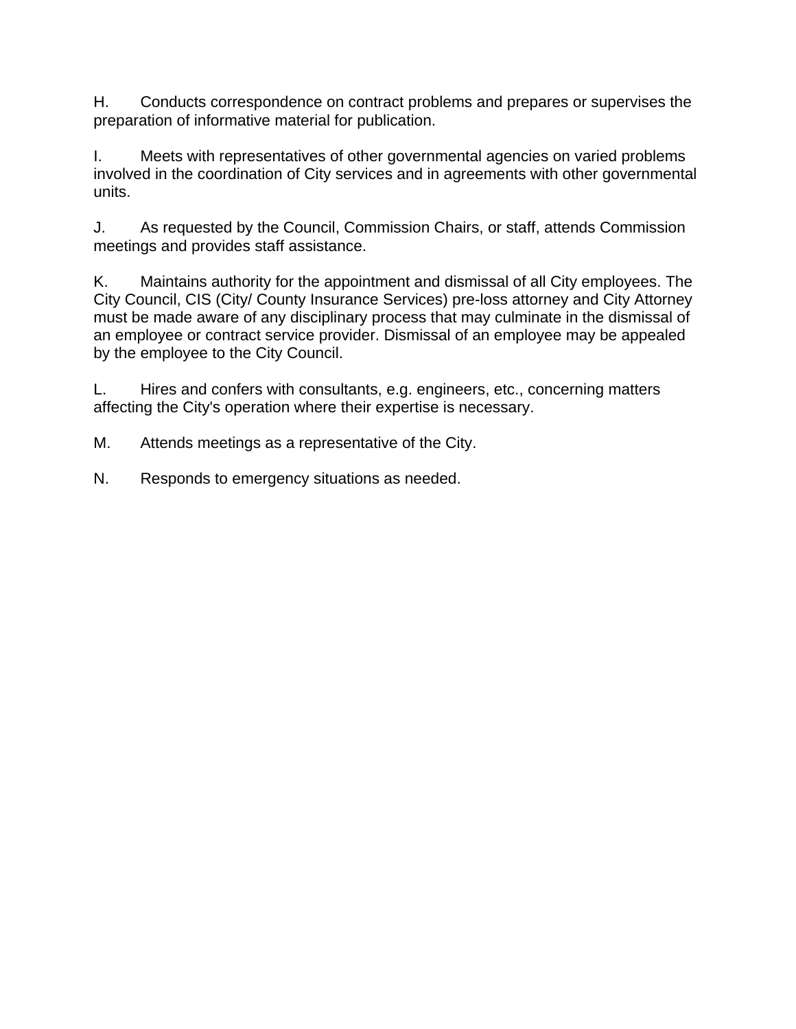H. Conducts correspondence on contract problems and prepares or supervises the preparation of informative material for publication.

I. Meets with representatives of other governmental agencies on varied problems involved in the coordination of City services and in agreements with other governmental units.

J. As requested by the Council, Commission Chairs, or staff, attends Commission meetings and provides staff assistance.

K. Maintains authority for the appointment and dismissal of all City employees. The City Council, CIS (City/ County Insurance Services) pre-loss attorney and City Attorney must be made aware of any disciplinary process that may culminate in the dismissal of an employee or contract service provider. Dismissal of an employee may be appealed by the employee to the City Council.

L. Hires and confers with consultants, e.g. engineers, etc., concerning matters affecting the City's operation where their expertise is necessary.

M. Attends meetings as a representative of the City.

N. Responds to emergency situations as needed.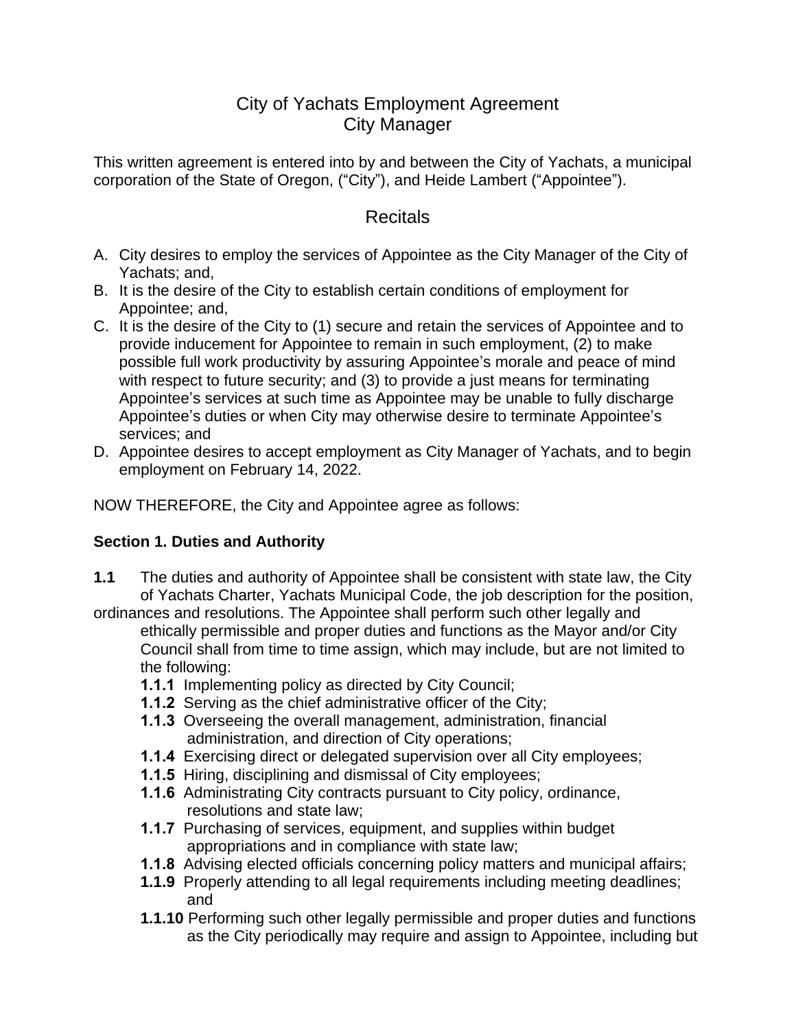# City of Yachats Employment Agreement City Manager

This written agreement is entered into by and between the City of Yachats, a municipal corporation of the State of Oregon, ("City"), and Heide Lambert ("Appointee").

# Recitals

- A. City desires to employ the services of Appointee as the City Manager of the City of Yachats; and,
- B. It is the desire of the City to establish certain conditions of employment for Appointee; and,
- C. It is the desire of the City to (1) secure and retain the services of Appointee and to provide inducement for Appointee to remain in such employment, (2) to make possible full work productivity by assuring Appointee's morale and peace of mind with respect to future security; and (3) to provide a just means for terminating Appointee's services at such time as Appointee may be unable to fully discharge Appointee's duties or when City may otherwise desire to terminate Appointee's services; and
- D. Appointee desires to accept employment as City Manager of Yachats, and to begin employment on February 14, 2022.

NOW THEREFORE, the City and Appointee agree as follows:

## **Section 1. Duties and Authority**

- **1.1** The duties and authority of Appointee shall be consistent with state law, the City of Yachats Charter, Yachats Municipal Code, the job description for the position,
- ordinances and resolutions. The Appointee shall perform such other legally and ethically permissible and proper duties and functions as the Mayor and/or City Council shall from time to time assign, which may include, but are not limited to the following:
	- **1.1.1** Implementing policy as directed by City Council;
	- **1.1.2** Serving as the chief administrative officer of the City;
	- **1.1.3** Overseeing the overall management, administration, financial administration, and direction of City operations;
	- **1.1.4** Exercising direct or delegated supervision over all City employees;
	- **1.1.5** Hiring, disciplining and dismissal of City employees;
	- **1.1.6** Administrating City contracts pursuant to City policy, ordinance, resolutions and state law;
	- **1.1.7** Purchasing of services, equipment, and supplies within budget appropriations and in compliance with state law;
	- **1.1.8** Advising elected officials concerning policy matters and municipal affairs;
	- **1.1.9** Properly attending to all legal requirements including meeting deadlines; and
	- **1.1.10** Performing such other legally permissible and proper duties and functions as the City periodically may require and assign to Appointee, including but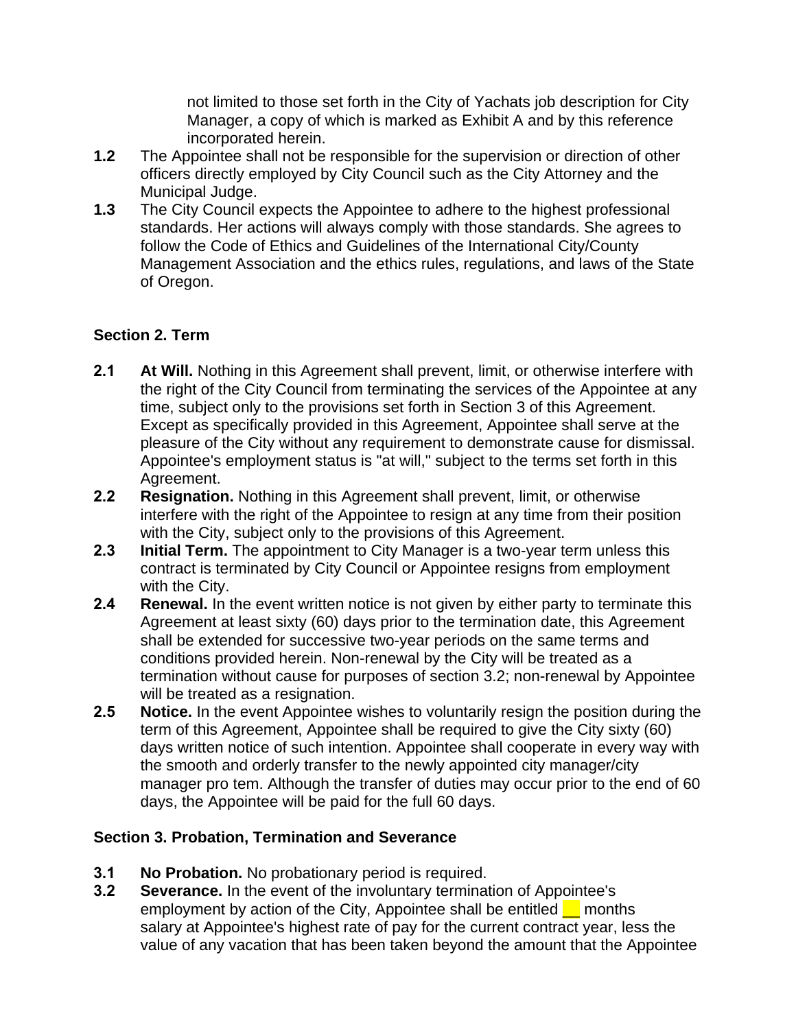not limited to those set forth in the City of Yachats job description for City Manager, a copy of which is marked as Exhibit A and by this reference incorporated herein.

- **1.2** The Appointee shall not be responsible for the supervision or direction of other officers directly employed by City Council such as the City Attorney and the Municipal Judge.
- **1.3** The City Council expects the Appointee to adhere to the highest professional standards. Her actions will always comply with those standards. She agrees to follow the Code of Ethics and Guidelines of the International City/County Management Association and the ethics rules, regulations, and laws of the State of Oregon.

## **Section 2. Term**

- **2.1 At Will.** Nothing in this Agreement shall prevent, limit, or otherwise interfere with the right of the City Council from terminating the services of the Appointee at any time, subject only to the provisions set forth in Section 3 of this Agreement. Except as specifically provided in this Agreement, Appointee shall serve at the pleasure of the City without any requirement to demonstrate cause for dismissal. Appointee's employment status is "at will," subject to the terms set forth in this Agreement.
- **2.2 Resignation.** Nothing in this Agreement shall prevent, limit, or otherwise interfere with the right of the Appointee to resign at any time from their position with the City, subject only to the provisions of this Agreement.
- **2.3 Initial Term.** The appointment to City Manager is a two-year term unless this contract is terminated by City Council or Appointee resigns from employment with the City.
- **2.4 Renewal.** In the event written notice is not given by either party to terminate this Agreement at least sixty (60) days prior to the termination date, this Agreement shall be extended for successive two-year periods on the same terms and conditions provided herein. Non-renewal by the City will be treated as a termination without cause for purposes of section 3.2; non-renewal by Appointee will be treated as a resignation.
- **2.5 Notice.** In the event Appointee wishes to voluntarily resign the position during the term of this Agreement, Appointee shall be required to give the City sixty (60) days written notice of such intention. Appointee shall cooperate in every way with the smooth and orderly transfer to the newly appointed city manager/city manager pro tem. Although the transfer of duties may occur prior to the end of 60 days, the Appointee will be paid for the full 60 days.

## **Section 3. Probation, Termination and Severance**

- **3.1 No Probation.** No probationary period is required.
- **3.2 Severance.** In the event of the involuntary termination of Appointee's employment by action of the City, Appointee shall be entitled **F** months salary at Appointee's highest rate of pay for the current contract year, less the value of any vacation that has been taken beyond the amount that the Appointee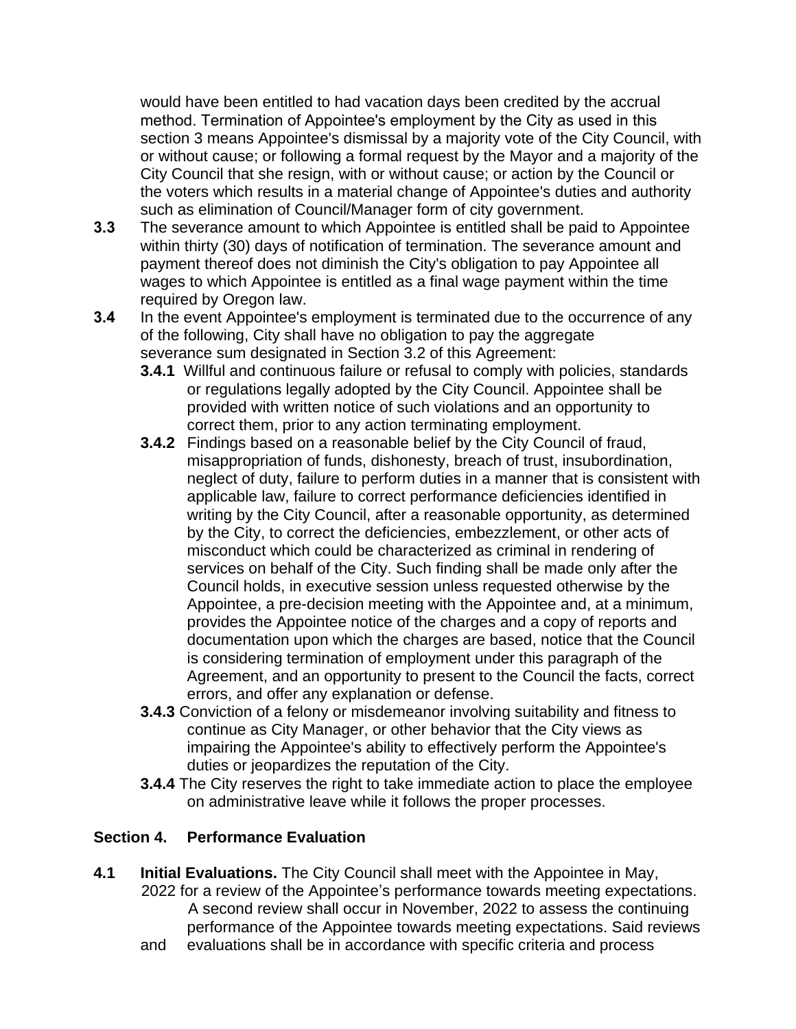would have been entitled to had vacation days been credited by the accrual method. Termination of Appointee's employment by the City as used in this section 3 means Appointee's dismissal by a majority vote of the City Council, with or without cause; or following a formal request by the Mayor and a majority of the City Council that she resign, with or without cause; or action by the Council or the voters which results in a material change of Appointee's duties and authority such as elimination of Council/Manager form of city government.

- **3.3** The severance amount to which Appointee is entitled shall be paid to Appointee within thirty (30) days of notification of termination. The severance amount and payment thereof does not diminish the City's obligation to pay Appointee all wages to which Appointee is entitled as a final wage payment within the time required by Oregon law.
- **3.4** In the event Appointee's employment is terminated due to the occurrence of any of the following, City shall have no obligation to pay the aggregate severance sum designated in Section 3.2 of this Agreement:
	- **3.4.1** Willful and continuous failure or refusal to comply with policies, standards or regulations legally adopted by the City Council. Appointee shall be provided with written notice of such violations and an opportunity to correct them, prior to any action terminating employment.
	- **3.4.2** Findings based on a reasonable belief by the City Council of fraud, misappropriation of funds, dishonesty, breach of trust, insubordination, neglect of duty, failure to perform duties in a manner that is consistent with applicable law, failure to correct performance deficiencies identified in writing by the City Council, after a reasonable opportunity, as determined by the City, to correct the deficiencies, embezzlement, or other acts of misconduct which could be characterized as criminal in rendering of services on behalf of the City. Such finding shall be made only after the Council holds, in executive session unless requested otherwise by the Appointee, a pre-decision meeting with the Appointee and, at a minimum, provides the Appointee notice of the charges and a copy of reports and documentation upon which the charges are based, notice that the Council is considering termination of employment under this paragraph of the Agreement, and an opportunity to present to the Council the facts, correct errors, and offer any explanation or defense.
	- **3.4.3** Conviction of a felony or misdemeanor involving suitability and fitness to continue as City Manager, or other behavior that the City views as impairing the Appointee's ability to effectively perform the Appointee's duties or jeopardizes the reputation of the City.
	- **3.4.4** The City reserves the right to take immediate action to place the employee on administrative leave while it follows the proper processes.

# **Section 4. Performance Evaluation**

- **4.1 Initial Evaluations.** The City Council shall meet with the Appointee in May, 2022 for a review of the Appointee's performance towards meeting expectations. A second review shall occur in November, 2022 to assess the continuing performance of the Appointee towards meeting expectations. Said reviews
	- and evaluations shall be in accordance with specific criteria and process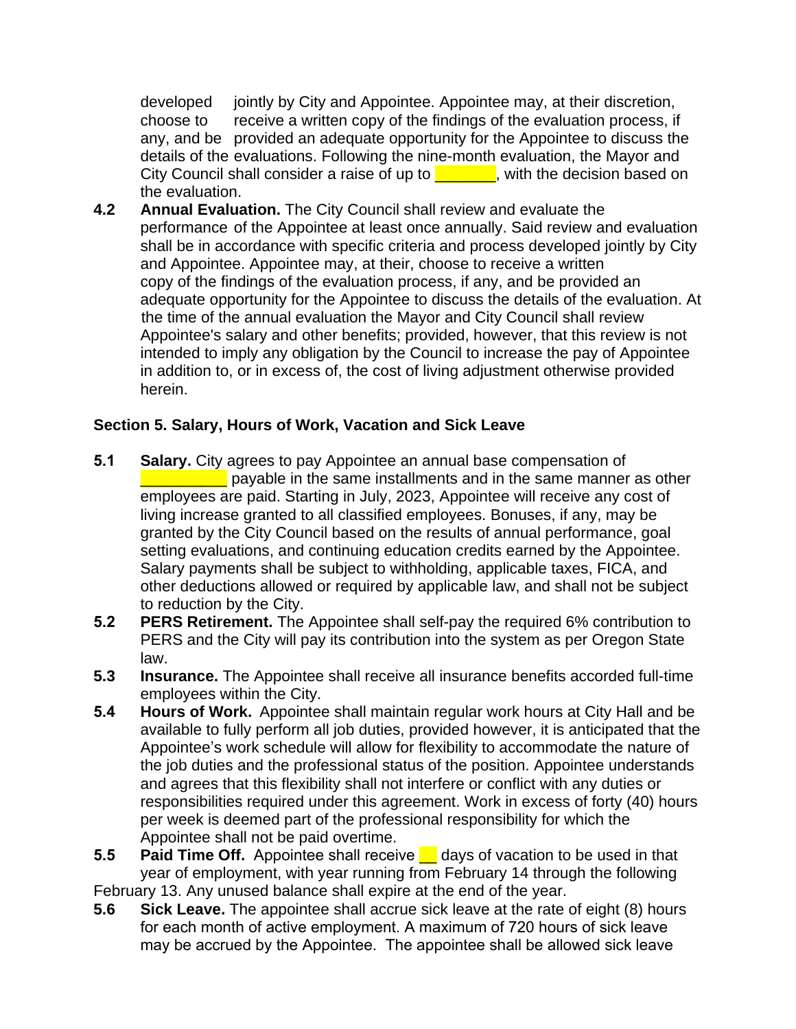developed jointly by City and Appointee. Appointee may, at their discretion, choose to receive a written copy of the findings of the evaluation process, if any, and be provided an adequate opportunity for the Appointee to discuss the details of the evaluations. Following the nine-month evaluation, the Mayor and City Council shall consider a raise of up to  $\Box$ , with the decision based on the evaluation.

**4.2 Annual Evaluation.** The City Council shall review and evaluate the performance of the Appointee at least once annually. Said review and evaluation shall be in accordance with specific criteria and process developed jointly by City and Appointee. Appointee may, at their, choose to receive a written copy of the findings of the evaluation process, if any, and be provided an adequate opportunity for the Appointee to discuss the details of the evaluation. At the time of the annual evaluation the Mayor and City Council shall review Appointee's salary and other benefits; provided, however, that this review is not intended to imply any obligation by the Council to increase the pay of Appointee in addition to, or in excess of, the cost of living adjustment otherwise provided herein.

## **Section 5. Salary, Hours of Work, Vacation and Sick Leave**

- **5.1 Salary.** City agrees to pay Appointee an annual base compensation of **EXECUTE:** payable in the same installments and in the same manner as other employees are paid. Starting in July, 2023, Appointee will receive any cost of living increase granted to all classified employees. Bonuses, if any, may be granted by the City Council based on the results of annual performance, goal setting evaluations, and continuing education credits earned by the Appointee. Salary payments shall be subject to withholding, applicable taxes, FICA, and other deductions allowed or required by applicable law, and shall not be subject to reduction by the City.
- **5.2 PERS Retirement.** The Appointee shall self-pay the required 6% contribution to PERS and the City will pay its contribution into the system as per Oregon State law.
- **5.3 Insurance.** The Appointee shall receive all insurance benefits accorded full-time employees within the City.
- **5.4 Hours of Work.** Appointee shall maintain regular work hours at City Hall and be available to fully perform all job duties, provided however, it is anticipated that the Appointee's work schedule will allow for flexibility to accommodate the nature of the job duties and the professional status of the position. Appointee understands and agrees that this flexibility shall not interfere or conflict with any duties or responsibilities required under this agreement. Work in excess of forty (40) hours per week is deemed part of the professional responsibility for which the Appointee shall not be paid overtime.
- **5.5 Paid Time Off.** Appointee shall receive **c** days of vacation to be used in that year of employment, with year running from February 14 through the following February 13. Any unused balance shall expire at the end of the year.
- **5.6 Sick Leave.** The appointee shall accrue sick leave at the rate of eight (8) hours for each month of active employment. A maximum of 720 hours of sick leave may be accrued by the Appointee. The appointee shall be allowed sick leave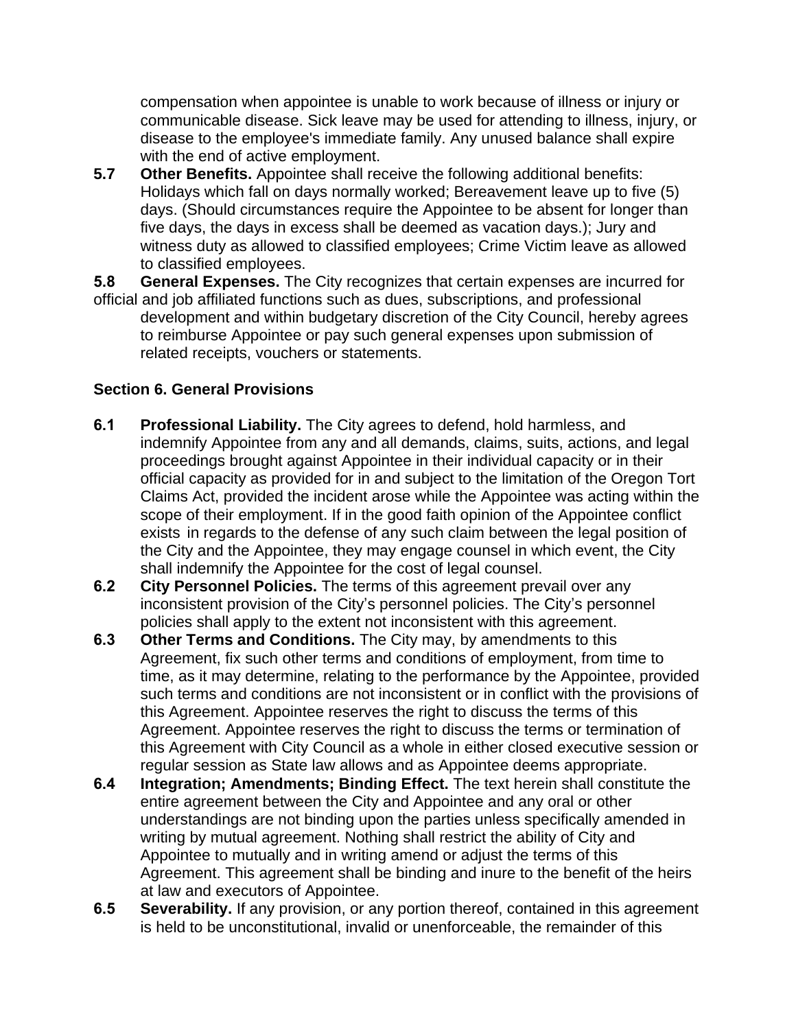compensation when appointee is unable to work because of illness or injury or communicable disease. Sick leave may be used for attending to illness, injury, or disease to the employee's immediate family. Any unused balance shall expire with the end of active employment.

**5.7 Other Benefits.** Appointee shall receive the following additional benefits: Holidays which fall on days normally worked; Bereavement leave up to five (5) days. (Should circumstances require the Appointee to be absent for longer than five days, the days in excess shall be deemed as vacation days.); Jury and witness duty as allowed to classified employees; Crime Victim leave as allowed to classified employees.

**5.8 General Expenses.** The City recognizes that certain expenses are incurred for official and job affiliated functions such as dues, subscriptions, and professional development and within budgetary discretion of the City Council, hereby agrees to reimburse Appointee or pay such general expenses upon submission of related receipts, vouchers or statements.

## **Section 6. General Provisions**

- **6.1 Professional Liability.** The City agrees to defend, hold harmless, and indemnify Appointee from any and all demands, claims, suits, actions, and legal proceedings brought against Appointee in their individual capacity or in their official capacity as provided for in and subject to the limitation of the Oregon Tort Claims Act, provided the incident arose while the Appointee was acting within the scope of their employment. If in the good faith opinion of the Appointee conflict exists in regards to the defense of any such claim between the legal position of the City and the Appointee, they may engage counsel in which event, the City shall indemnify the Appointee for the cost of legal counsel.
- **6.2 City Personnel Policies.** The terms of this agreement prevail over any inconsistent provision of the City's personnel policies. The City's personnel policies shall apply to the extent not inconsistent with this agreement.
- **6.3 Other Terms and Conditions.** The City may, by amendments to this Agreement, fix such other terms and conditions of employment, from time to time, as it may determine, relating to the performance by the Appointee, provided such terms and conditions are not inconsistent or in conflict with the provisions of this Agreement. Appointee reserves the right to discuss the terms of this Agreement. Appointee reserves the right to discuss the terms or termination of this Agreement with City Council as a whole in either closed executive session or regular session as State law allows and as Appointee deems appropriate.
- **6.4 Integration; Amendments; Binding Effect.** The text herein shall constitute the entire agreement between the City and Appointee and any oral or other understandings are not binding upon the parties unless specifically amended in writing by mutual agreement. Nothing shall restrict the ability of City and Appointee to mutually and in writing amend or adjust the terms of this Agreement. This agreement shall be binding and inure to the benefit of the heirs at law and executors of Appointee.
- **6.5 Severability.** If any provision, or any portion thereof, contained in this agreement is held to be unconstitutional, invalid or unenforceable, the remainder of this